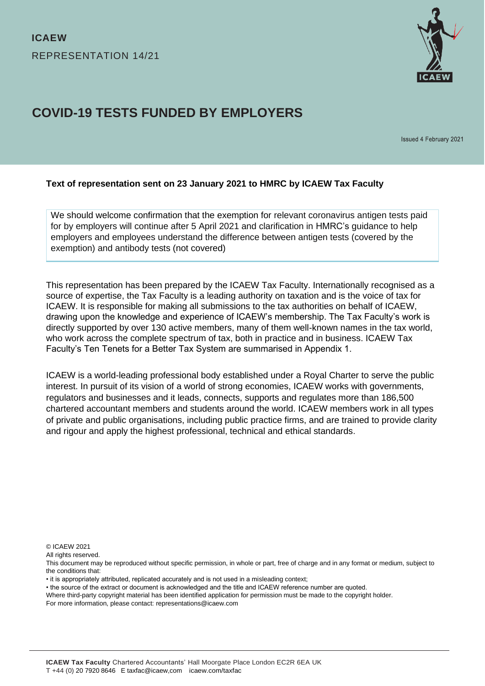

# **COVID-19 TESTS FUNDED BY EMPLOYERS**

Issued 4 February 2021

#### **Text of representation sent on 23 January 2021 to HMRC by ICAEW Tax Faculty**

We should welcome confirmation that the exemption for relevant coronavirus antigen tests paid for by employers will continue after 5 April 2021 and clarification in HMRC's guidance to help employers and employees understand the difference between antigen tests (covered by the exemption) and antibody tests (not covered)

This representation has been prepared by the ICAEW Tax Faculty. Internationally recognised as a source of expertise, the Tax Faculty is a leading authority on taxation and is the voice of tax for ICAEW. It is responsible for making all submissions to the tax authorities on behalf of ICAEW, drawing upon the knowledge and experience of ICAEW's membership. The Tax Faculty's work is directly supported by over 130 active members, many of them well-known names in the tax world, who work across the complete spectrum of tax, both in practice and in business. ICAEW Tax Faculty's Ten Tenets for a Better Tax System are summarised in Appendix 1.

ICAEW is a world-leading professional body established under a Royal Charter to serve the public interest. In pursuit of its vision of a world of strong economies, ICAEW works with governments, regulators and businesses and it leads, connects, supports and regulates more than 186,500 chartered accountant members and students around the world. ICAEW members work in all types of private and public organisations, including public practice firms, and are trained to provide clarity and rigour and apply the highest professional, technical and ethical standards.

© ICAEW 2021

All rights reserved.

- it is appropriately attributed, replicated accurately and is not used in a misleading context;
- the source of the extract or document is acknowledged and the title and ICAEW reference number are quoted.

Where third-party copyright material has been identified application for permission must be made to the copyright holder.

For more information, please contact: representations@icaew.com

This document may be reproduced without specific permission, in whole or part, free of charge and in any format or medium, subject to the conditions that: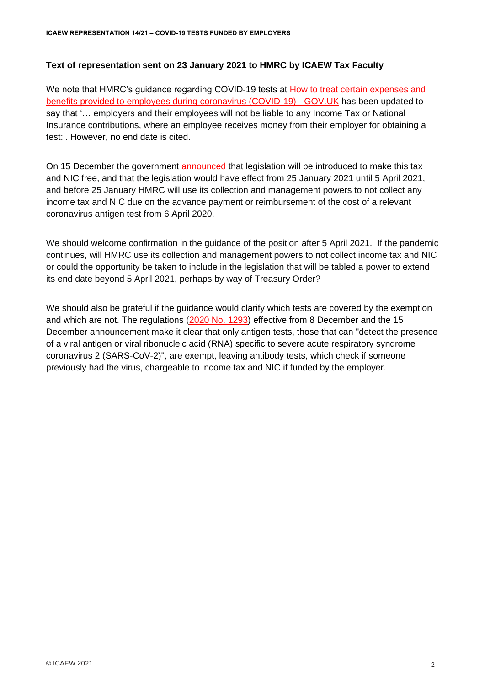## **Text of representation sent on 23 January 2021 to HMRC by ICAEW Tax Faculty**

We note that HMRC's guidance regarding COVID-19 tests at How to treat certain expenses and [benefits provided to employees during coronavirus \(COVID-19\) -](https://www.gov.uk/guidance/how-to-treat-certain-expenses-and-benefits-provided-to-employees-during-coronavirus-covid-19?utm_medium=email&utm_campaign=govuk-notifications&utm_source=63809c59-6cfa-4203-8c3e-750bffaec261&utm_content=daily#coronavirus-covid-19-tests) GOV.UK has been updated to say that '… employers and their employees will not be liable to any Income Tax or National Insurance contributions, where an employee receives money from their employer for obtaining a test:'. However, no end date is cited.

On 15 December the government [announced](https://www.gov.uk/government/publications/income-tax-and-national-insurance-contributions-exemption-for-employer-reimbursed-coronavirus-antigen-tests/income-tax-and-national-insurance-contributions-exemption-for-employer-reimbursed-coronavirus-antigen-tests) that legislation will be introduced to make this tax and NIC free, and that the legislation would have effect from 25 January 2021 until 5 April 2021, and before 25 January HMRC will use its collection and management powers to not collect any income tax and NIC due on the advance payment or reimbursement of the cost of a relevant coronavirus antigen test from 6 April 2020.

We should welcome confirmation in the guidance of the position after 5 April 2021. If the pandemic continues, will HMRC use its collection and management powers to not collect income tax and NIC or could the opportunity be taken to include in the legislation that will be tabled a power to extend its end date beyond 5 April 2021, perhaps by way of Treasury Order?

We should also be grateful if the guidance would clarify which tests are covered by the exemption and which are not. The regulations [\(2020 No. 1293\)](https://www.legislation.gov.uk/uksi/2020/1293/made) effective from 8 December and the 15 December announcement make it clear that only antigen tests, those that can "detect the presence of a viral antigen or viral ribonucleic acid (RNA) specific to severe acute respiratory syndrome coronavirus 2 (SARS-CoV-2)", are exempt, leaving antibody tests, which check if someone previously had the virus, chargeable to income tax and NIC if funded by the employer.